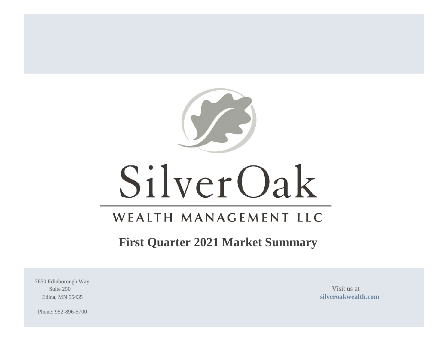

# SilverOak

# WEALTH MANAGEMENT LLC

# **First Quarter 2021 Market Summary**

7650 Edinborough Way Suite 250 Visit us at

Edina, MN 55435 **[silveroakwealth.com](http://www.silveroakwealth.com/silveroakwealth.aspx)**

Phone: 952-896-5700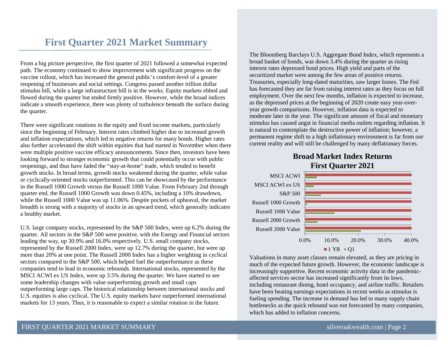# **First Quarter 2021 Market Summary**

From a big picture perspective, the first quarter of 2021 followed a somewhat expected path. The economy continued to show improvement with significant progress on the vaccine rollout, which has increased the general public's comfort-level of a greater reopening of businesses and social settings. Congress passed another trillion dollar stimulus bill, while a large infrastructure bill is in the works. Equity markets ebbed and flowed during the quarter but ended firmly positive. However, while the broad indices indicate a smooth experience, there was plenty of turbulence beneath the surface during the quarter.

There were significant rotations in the equity and fixed income markets, particularly since the beginning of February. Interest rates climbed higher due to increased growth and inflation expectations, which led to negative returns for many bonds. Higher rates also further accelerated the shift within equities that had started in November when there were multiple positive vaccine efficacy announcements. Since then, investors have been looking forward to stronger economic growth that could potentially occur with public reopenings, and thus have faded the "stay-at-home" trade, which tended to benefit growth stocks. In broad terms, growth stocks weakened during the quarter, while value or cyclically-oriented stocks outperformed. This can be showcased by the performance in the Russell 1000 Growth versus the Russell 1000 Value. From February 2nd through quarter end, the Russell 1000 Growth was down 0.45%, including a 10% drawdown, while the Russell 1000 Value was up 11.06%. Despite pockets of upheaval, the market breadth is strong with a majority of stocks in an upward trend, which generally indicates a healthy market.

U.S. large company stocks, represented by the S&P 500 Index, were up 6.2% during the quarter. All sectors in the S&P 500 were positive, with the Energy and Financial sectors leading the way, up 30.9% and 16.0% respectively. U.S. small company stocks, represented by the Russell 2000 Index, were up 12.7% during the quarter, but were up more than 20% at one point. The Russell 2000 Index has a higher weighting in cyclical sectors compared to the S&P 500, which helped fuel the outperformance as these companies tend to lead in economic rebounds. International stocks, represented by the MSCI ACWI ex US Index, were up 3.5% during the quarter. We have started to see some leadership changes with value outperforming growth and small caps outperforming large caps. The historical relationship between international stocks and U.S. equities is also cyclical. The U.S. equity markets have outperformed international markets for 13 years. Thus, it is reasonable to expect a similar rotation in the future.

The Bloomberg Barclays U.S. Aggregate Bond Index, which represents a broad basket of bonds, was down 3.4% during the quarter as rising interest rates depressed bond prices. High yield and parts of the securitized market were among the few areas of positive returns. Treasuries, especially long-dated maturities, saw larger losses. The Fed has forecasted they are far from raising interest rates as they focus on full employment. Over the next few months, inflation is expected to increase, as the depressed prices at the beginning of 2020 create easy year-overyear growth comparisons. However, inflation data is expected to moderate later in the year. The significant amount of fiscal and monetary stimulus has caused angst in financial media outlets regarding inflation. It is natural to contemplate the destructive power of inflation; however, a permanent regime shift to a high inflationary environment is far from our current reality and will still be challenged by many deflationary forces.

#### **Broad Market Index Returns First Quarter 2021**



Valuations in many asset classes remain elevated, as they are pricing in much of the expected future growth. However, the economic landscape is increasingly supportive. Recent economic activity data in the pandemicaffected services sector has increased significantly from its lows, including restaurant dining, hotel occupancy, and airline traffic. Retailers have been beating earnings expectations in recent weeks as stimulus is fueling spending. The increase in demand has led to many supply chain bottlenecks as the quick rebound was not forecasted by many companies, which has added to inflation concerns.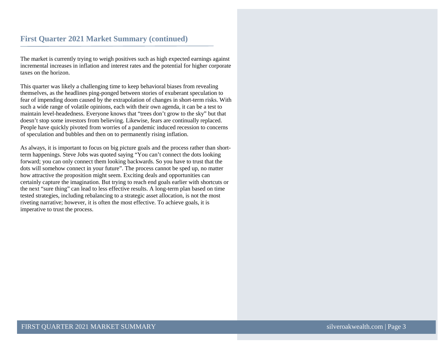The market is currently trying to weigh positives such as high expected earnings against incremental increases in inflation and interest rates and the potential for higher corporate taxes on the horizon.

This quarter was likely a challenging time to keep behavioral biases from revealing themselves, as the headlines ping-ponged between stories of exuberant speculation to fear of impending doom caused by the extrapolation of changes in short-term risks. With such a wide range of volatile opinions, each with their own agenda, it can be a test to maintain level-headedness. Everyone knows that "trees don't grow to the sky" but that doesn't stop some investors from believing. Likewise, fears are continually replaced. People have quickly pivoted from worries of a pandemic induced recession to concerns of speculation and bubbles and then on to permanently rising inflation.

As always, it is important to focus on big picture goals and the process rather than shortterm happenings. Steve Jobs was quoted saying "You can't connect the dots looking forward; you can only connect them looking backwards. So you have to trust that the dots will somehow connect in your future". The process cannot be sped up, no matter how attractive the proposition might seem. Exciting deals and opportunities can certainly capture the imagination. But trying to reach end goals earlier with shortcuts or the next "sure thing" can lead to less effective results. A long-term plan based on time tested strategies, including rebalancing to a strategic asset allocation, is not the most riveting narrative; however, it is often the most effective. To achieve goals, it is imperative to trust the process.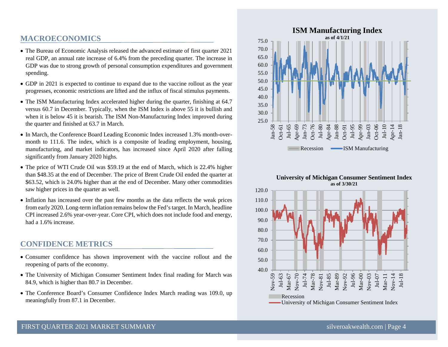#### **MACROECONOMICS**

- The Bureau of Economic Analysis released the advanced estimate of first quarter 2021 real GDP, an annual rate increase of 6.4% from the preceding quarter. The increase in GDP was due to strong growth of personal consumption expenditures and government spending.
- GDP in 2021 is expected to continue to expand due to the vaccine rollout as the year progresses, economic restrictions are lifted and the influx of fiscal stimulus payments.
- The ISM Manufacturing Index accelerated higher during the quarter, finishing at 64.7 versus 60.7 in December. Typically, when the ISM Index is above 55 it is bullish and when it is below 45 it is bearish. The ISM Non-Manufacturing Index improved during the quarter and finished at 63.7 in March.
- In March, the Conference Board Leading Economic Index increased 1.3% month-overmonth to 111.6. The index, which is a composite of leading employment, housing, manufacturing, and market indicators, has increased since April 2020 after falling significantly from January 2020 highs.
- The price of WTI Crude Oil was \$59.19 at the end of March, which is 22.4% higher than \$48.35 at the end of December. The price of Brent Crude Oil ended the quarter at \$63.52, which is 24.0% higher than at the end of December. Many other commodities saw higher prices in the quarter as well.
- Inflation has increased over the past few months as the data reflects the weak prices from early 2020. Long-term inflation remains below the Fed's target. In March, headline CPI increased 2.6% year-over-year. Core CPI, which does not include food and energy, had a 1.6% increase.

#### **CONFIDENCE METRICS**

- Consumer confidence has shown improvement with the vaccine rollout and the reopening of parts of the economy.
- The University of Michigan Consumer Sentiment Index final reading for March was 84.9, which is higher than 80.7 in December.
- The Conference Board's Consumer Confidence Index March reading was 109.0, up meaningfully from 87.1 in December.



#### **University of Michigan Consumer Sentiment Index as of 3/30/21**

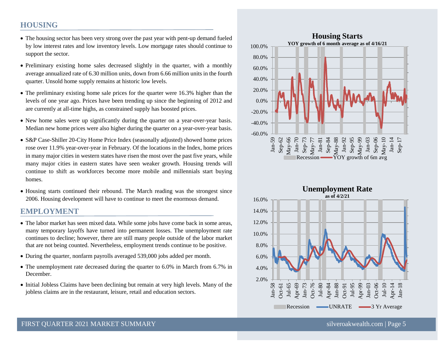#### **HOUSING**

- The housing sector has been very strong over the past year with pent-up demand fueled by low interest rates and low inventory levels. Low mortgage rates should continue to support the sector.
- Preliminary existing home sales decreased slightly in the quarter, with a monthly average annualized rate of 6.30 million units, down from 6.66 million units in the fourth quarter. Unsold home supply remains at historic low levels.
- The preliminary existing home sale prices for the quarter were 16.3% higher than the levels of one year ago. Prices have been trending up since the beginning of 2012 and are currently at all-time highs, as constrained supply has boosted prices.
- New home sales were up significantly during the quarter on a year-over-year basis. Median new home prices were also higher during the quarter on a year-over-year basis.
- S&P Case-Shiller 20-City Home Price Index (seasonally adjusted) showed home prices rose over 11.9% year-over-year in February. Of the locations in the Index, home prices in many major cities in western states have risen the most over the past five years, while many major cities in eastern states have seen weaker growth. Housing trends will continue to shift as workforces become more mobile and millennials start buying homes.
- Housing starts continued their rebound. The March reading was the strongest since 2006. Housing development will have to continue to meet the enormous demand.

#### **EMPLOYMENT**

- The labor market has seen mixed data. While some jobs have come back in some areas, many temporary layoffs have turned into permanent losses. The unemployment rate continues to decline; however, there are still many people outside of the labor market that are not being counted. Nevertheless, employment trends continue to be positive.
- During the quarter, nonfarm payrolls averaged 539,000 jobs added per month.
- The unemployment rate decreased during the quarter to 6.0% in March from 6.7% in December.
- Initial Jobless Claims have been declining but remain at very high levels. Many of the jobless claims are in the restaurant, leisure, retail and education sectors.



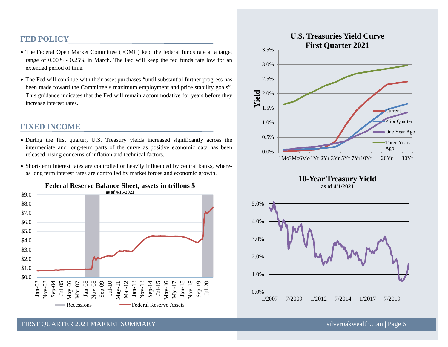#### **FED POLICY**

- The Federal Open Market Committee (FOMC) kept the federal funds rate at a target range of 0.00% - 0.25% in March. The Fed will keep the fed funds rate low for an extended period of time.
- The Fed will continue with their asset purchases "until substantial further progress has been made toward the Committee's maximum employment and price stability goals". This guidance indicates that the Fed will remain accommodative for years before they increase interest rates.

#### **FIXED INCOME**

- During the first quarter, U.S. Treasury yields increased significantly across the intermediate and long-term parts of the curve as positive economic data has been released, rising concerns of inflation and technical factors.
- Short-term interest rates are controlled or heavily influenced by central banks, whereas long term interest rates are controlled by market forces and economic growth.











FIRST OUARTER 2021 MARKET SUMMARY [silveroakwealth.com](http://www.silveroakwealth.com/silveroakwealth.aspx) | Page 6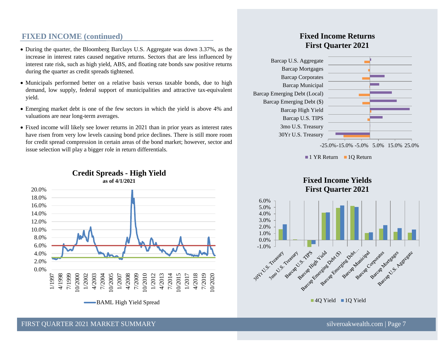## **FIXED INCOME (continued)**

- During the quarter, the Bloomberg Barclays U.S. Aggregate was down 3.37%, as the increase in interest rates caused negative returns. Sectors that are less influenced by interest rate risk, such as high yield, ABS, and floating rate bonds saw positive returns during the quarter as credit spreads tightened.
- Municipals performed better on a relative basis versus taxable bonds, due to high demand, low supply, federal support of municipalities and attractive tax-equivalent yield.
- Emerging market debt is one of the few sectors in which the yield is above 4% and valuations are near long-term averages.
- Fixed income will likely see lower returns in 2021 than in prior years as interest rates have risen from very low levels causing bond price declines. There is still more room for credit spread compression in certain areas of the bond market; however, sector and issue selection will play a bigger role in return differentials.



#### **Credit Spreads - High Yield as of 4/1/2021**

# **Fixed Income Returns First Quarter 2021**



-25.0%-15.0% -5.0% 5.0% 15.0% 25.0%

1 YR Return 10 Return

**Fixed Income Yields**



#### FIRST OUARTER 2021 MARKET SUMMARY [silveroakwealth.com](http://www.silveroakwealth.com/silveroakwealth.aspx) | Page 7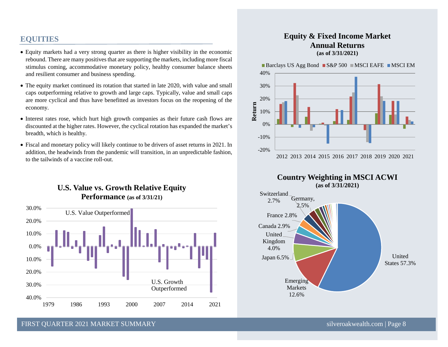# **EQUITIES**

- Equity markets had a very strong quarter as there is higher visibility in the economic rebound. There are many positives that are supporting the markets, including more fiscal stimulus coming, accommodative monetary policy, healthy consumer balance sheets and resilient consumer and business spending.
- The equity market continued its rotation that started in late 2020, with value and small caps outperforming relative to growth and large caps. Typically, value and small caps are more cyclical and thus have benefitted as investors focus on the reopening of the economy.
- Interest rates rose, which hurt high growth companies as their future cash flows are discounted at the higher rates. However, the cyclical rotation has expanded the market's breadth, which is healthy.
- Fiscal and monetary policy will likely continue to be drivers of asset returns in 2021. In addition, the headwinds from the pandemic will transition, in an unpredictable fashion, to the tailwinds of a vaccine roll-out.

## **U.S. Value vs. Growth Relative Equity Performance (as of 3/31/21)**



#### **Equity & Fixed Income Market Annual Returns (as of 3/31/2021)**





FIRST OUARTER 2021 MARKET SUMMARY SILVERSET SUMMARY SILVERSET SUMMARY SILVERSET OUARTER 2021 MARKET SUMMARY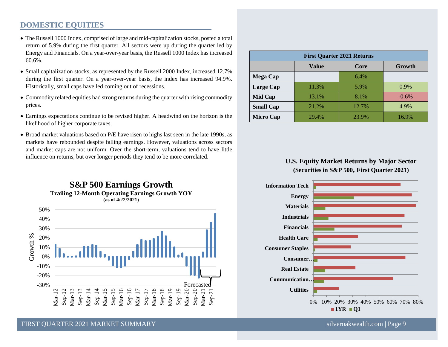#### **DOMESTIC EQUITIES**

- The Russell 1000 Index, comprised of large and mid-capitalization stocks, posted a total return of 5.9% during the first quarter. All sectors were up during the quarter led by Energy and Financials. On a year-over-year basis, the Russell 1000 Index has increased 60.6%.
- Small capitalization stocks, as represented by the Russell 2000 Index, increased 12.7% during the first quarter. On a year-over-year basis, the index has increased 94.9%. Historically, small caps have led coming out of recessions.
- Commodity related equities had strong returns during the quarter with rising commodity prices.
- Earnings expectations continue to be revised higher. A headwind on the horizon is the likelihood of higher corporate taxes.
- Broad market valuations based on P/E have risen to highs last seen in the late 1990s, as markets have rebounded despite falling earnings. However, valuations across sectors and market caps are not uniform. Over the short-term, valuations tend to have little influence on returns, but over longer periods they tend to be more correlated.



| <b>First Quarter 2021 Returns</b> |       |       |          |
|-----------------------------------|-------|-------|----------|
|                                   | Value | Core  | Growth   |
| <b>Mega Cap</b>                   |       | 6.4%  |          |
| Large Cap                         | 11.3% | 5.9%  | $0.9\%$  |
| Mid Cap                           | 13.1% | 8.1%  | $-0.6\%$ |
| <b>Small Cap</b>                  | 21.2% | 12.7% | 4.9%     |
| <b>Micro Cap</b>                  | 29.4% | 23.9% | 16.9%    |

#### **U.S. Equity Market Returns by Major Sector (Securities in S&P 500, First Quarter 2021)**



FIRST OUARTER 2021 MARKET SUMMARY [silveroakwealth.com](http://www.silveroakwealth.com/silveroakwealth.aspx) | Page 9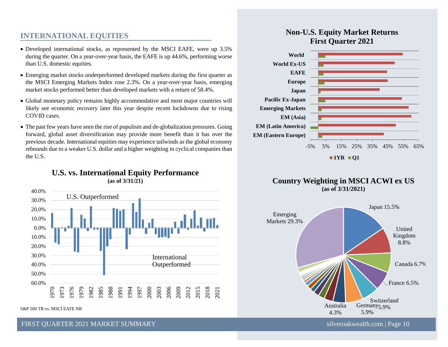### **INTERNATIONAL EQUITIES**

- Developed international stocks, as represented by the MSCI EAFE, were up 3.5% during the quarter. On a year-over-year basis, the EAFE is up 44.6%, performing worse than U.S. domestic equities.
- Emerging market stocks underperformed developed markets during the first quarter as the MSCI Emerging Markets Index rose 2.3%. On a year-over-year basis, emerging market stocks performed better than developed markets with a return of 58.4%.
- Global monetary policy remains highly accommodative and most major countries will likely see economic recovery later this year despite recent lockdowns due to rising COVID cases.
- The past few years have seen the rise of populism and de-globalization pressures. Going forward, global asset diversification may provide more benefit than it has over the previous decade. International equities may experience tailwinds as the global economy rebounds due to a weaker U.S. dollar and a higher weighting in cyclical companies than the U.S.



S&P 500 TR vs. MSCI EAFE NR

#### FIRST OUARTER 2021 MARKET SUMMARY SILVERSET SUMMARY SILVERSET SUMMARY SILVERSET OUARTER 2021 MARKET SUMMARY

# **Non-U.S. Equity Market Returns First Quarter 2021**







#### **U.S. vs. International Equity Performance (as of 3/31/21)**